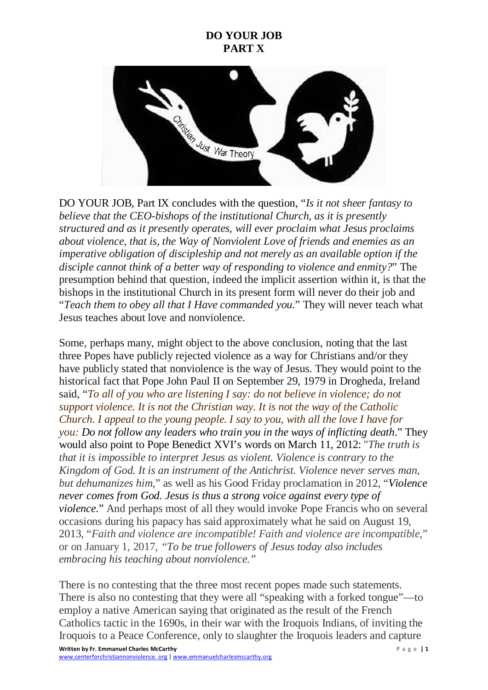

DO YOUR JOB, Part IX concludes with the question, "*Is it not sheer fantasy to believe that the CEO-bishops of the institutional Church, as it is presently structured and as it presently operates, will ever proclaim what Jesus proclaims about violence, that is, the Way of Nonviolent Love of friends and enemies as an imperative obligation of discipleship and not merely as an available option if the disciple cannot think of a better way of responding to violence and enmity?*" The presumption behind that question, indeed the implicit assertion within it, is that the bishops in the institutional Church in its present form will never do their job and "*Teach them to obey all that I Have commanded you.*" They will never teach what Jesus teaches about love and nonviolence.

Some, perhaps many, might object to the above conclusion, noting that the last three Popes have publicly rejected violence as a way for Christians and/or they have publicly stated that nonviolence is the way of Jesus. They would point to the historical fact that Pope John Paul II on September 29, 1979 in Drogheda, Ireland said, "*To all of you who are listening I say: do not believe in violence; do not support violence. It is not the Christian way. It is not the way of the Catholic Church. I appeal to the young people. I say to you, with all the love I have for you: Do not follow any leaders who train you in the ways of inflicting death*." They would also point to Pope Benedict XVI's words on March 11, 2012: "*The truth is that it is impossible to interpret Jesus as violent. Violence is contrary to the Kingdom of God. It is an instrument of the Antichrist. Violence never serves man, but dehumanizes him,*" as well as his Good Friday proclamation in 2012, "*Violence never comes from God. Jesus is thus a strong voice against every type of violence*." And perhaps most of all they would invoke Pope Francis who on several occasions during his papacy has said approximately what he said on August 19, 2013, "*Faith and violence are incompatible! Faith and violence are incompatible,*" or on January 1, 2017, *"To be true followers of Jesus today also includes embracing his teaching about nonviolence."*

There is no contesting that the three most recent popes made such statements. There is also no contesting that they were all "speaking with a forked tongue"—to employ a native American saying that originated as the result of the French Catholics tactic in the 1690s, in their war with the Iroquois Indians, of inviting the Iroquois to a Peace Conference, only to slaughter the Iroquois leaders and capture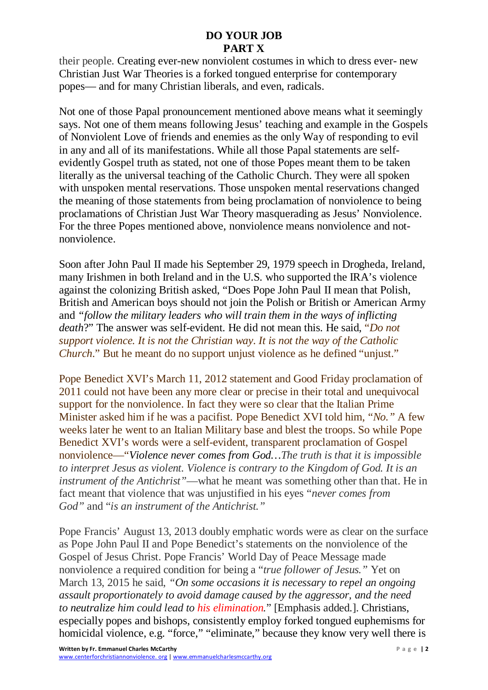their people. Creating ever-new nonviolent costumes in which to dress ever- new Christian Just War Theories is a forked tongued enterprise for contemporary popes— and for many Christian liberals, and even, radicals.

Not one of those Papal pronouncement mentioned above means what it seemingly says. Not one of them means following Jesus' teaching and example in the Gospels of Nonviolent Love of friends and enemies as the only Way of responding to evil in any and all of its manifestations. While all those Papal statements are selfevidently Gospel truth as stated, not one of those Popes meant them to be taken literally as the universal teaching of the Catholic Church. They were all spoken with unspoken mental reservations. Those unspoken mental reservations changed the meaning of those statements from being proclamation of nonviolence to being proclamations of Christian Just War Theory masquerading as Jesus' Nonviolence. For the three Popes mentioned above, nonviolence means nonviolence and notnonviolence.

Soon after John Paul II made his September 29, 1979 speech in Drogheda, Ireland, many Irishmen in both Ireland and in the U.S. who supported the IRA's violence against the colonizing British asked, "Does Pope John Paul II mean that Polish, British and American boys should not join the Polish or British or American Army and *"follow the military leaders who will train them in the ways of inflicting death*?" The answer was self-evident. He did not mean this. He said, "*Do not support violence. It is not the Christian way. It is not the way of the Catholic Church*." But he meant do no support unjust violence as he defined "unjust."

Pope Benedict XVI's March 11, 2012 statement and Good Friday proclamation of 2011 could not have been any more clear or precise in their total and unequivocal support for the nonviolence. In fact they were so clear that the Italian Prime Minister asked him if he was a pacifist. Pope Benedict XVI told him, "*No."* A few weeks later he went to an Italian Military base and blest the troops. So while Pope Benedict XVI's words were a self-evident, transparent proclamation of Gospel nonviolence—"*Violence never comes from God…The truth is that it is impossible to interpret Jesus as violent. Violence is contrary to the Kingdom of God. It is an instrument of the Antichrist"*—what he meant was something other than that. He in fact meant that violence that was unjustified in his eyes "*never comes from God"* and "*is an instrument of the Antichrist."*

Pope Francis' August 13, 2013 doubly emphatic words were as clear on the surface as Pope John Paul II and Pope Benedict's statements on the nonviolence of the Gospel of Jesus Christ. Pope Francis' World Day of Peace Message made nonviolence a required condition for being a "*true follower of Jesus."* Yet on March 13, 2015 he said, *"On some occasions it is necessary to repel an ongoing assault proportionately to avoid damage caused by the aggressor, and the need to neutralize him could lead to his elimination.*" [Emphasis added.]. Christians, especially popes and bishops, consistently employ forked tongued euphemisms for homicidal violence, e.g. "force," "eliminate," because they know very well there is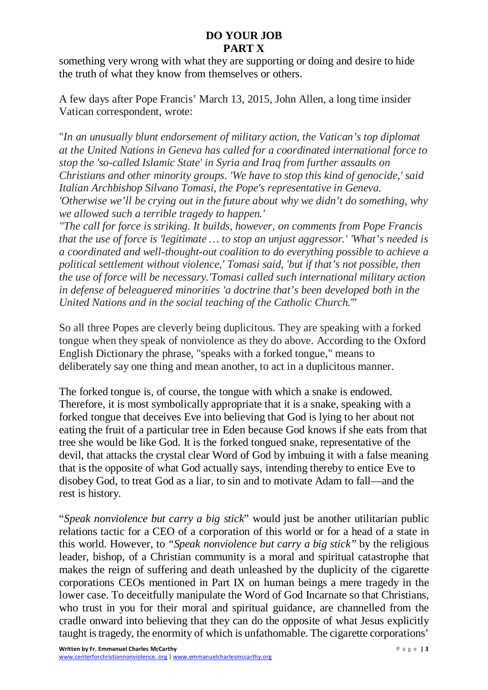something very wrong with what they are supporting or doing and desire to hide the truth of what they know from themselves or others.

A few days after Pope Francis' March 13, 2015, John Allen, a long time insider Vatican correspondent, wrote:

"*In an unusually blunt endorsement of military action, the Vatican's top diplomat at the United Nations in Geneva has called for a coordinated international force to stop the 'so-called Islamic State' in Syria and Iraq from further assaults on Christians and other minority groups. 'We have to stop this kind of genocide,' said Italian Archbishop Silvano Tomasi, the Pope's representative in Geneva. 'Otherwise we'll be crying out in the future about why we didn't do something, why we allowed such a terrible tragedy to happen.'*

*"The call for force is striking. It builds, however, on comments from Pope Francis that the use of force is 'legitimate … to stop an unjust aggressor.' 'What's needed is a coordinated and well-thought-out coalition to do everything possible to achieve a political settlement without violence,' Tomasi said, 'but if that's not possible, then the use of force will be necessary.'Tomasi called such international military action in defense of beleaguered minorities 'a doctrine that's been developed both in the United Nations and in the social teaching of the Catholic Church.*'"

So all three Popes are cleverly being duplicitous. They are speaking with a forked tongue when they speak of nonviolence as they do above. According to the Oxford English Dictionary the phrase, "speaks with a forked tongue," means to deliberately say one thing and mean another, to act in a duplicitous manner.

The forked tongue is, of course, the tongue with which a snake is endowed. Therefore, it is most symbolically appropriate that it is a snake, speaking with a forked tongue that deceives Eve into believing that God is lying to her about not eating the fruit of a particular tree in Eden because God knows if she eats from that tree she would be like God. It is the forked tongued snake, representative of the devil, that attacks the crystal clear Word of God by imbuing it with a false meaning that is the opposite of what God actually says, intending thereby to entice Eve to disobey God, to treat God as a liar, to sin and to motivate Adam to fall—and the rest is history.

"*Speak nonviolence but carry a big stick*" would just be another utilitarian public relations tactic for a CEO of a corporation of this world or for a head of a state in this world. However, to *"Speak nonviolence but carry a big stick"* by the religious leader, bishop, of a Christian community is a moral and spiritual catastrophe that makes the reign of suffering and death unleashed by the duplicity of the cigarette corporations CEOs mentioned in Part IX on human beings a mere tragedy in the lower case. To deceitfully manipulate the Word of God Incarnate so that Christians, who trust in you for their moral and spiritual guidance, are channelled from the cradle onward into believing that they can do the opposite of what Jesus explicitly taught is tragedy, the enormity of which is unfathomable. The cigarette corporations'